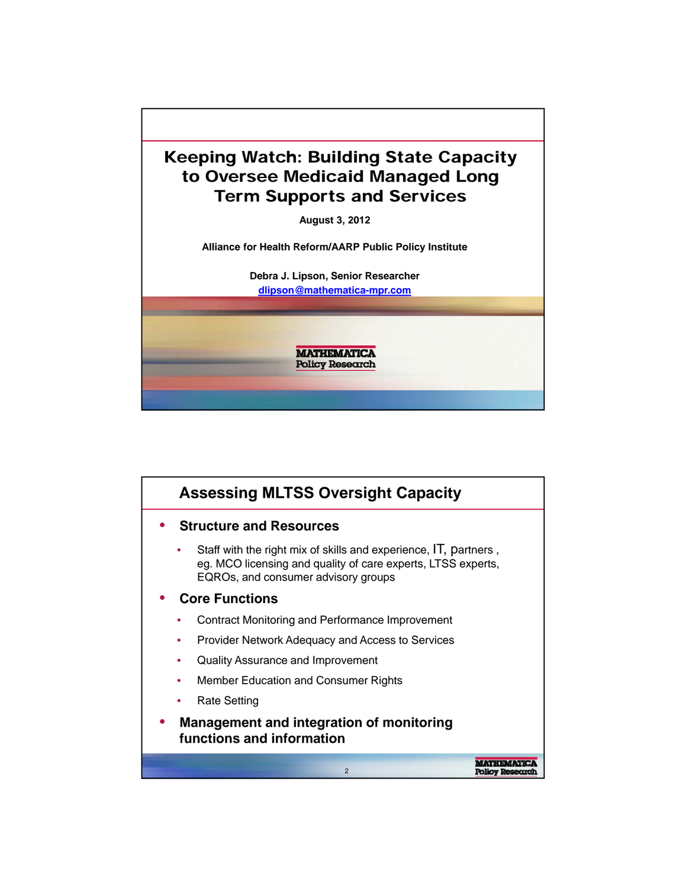

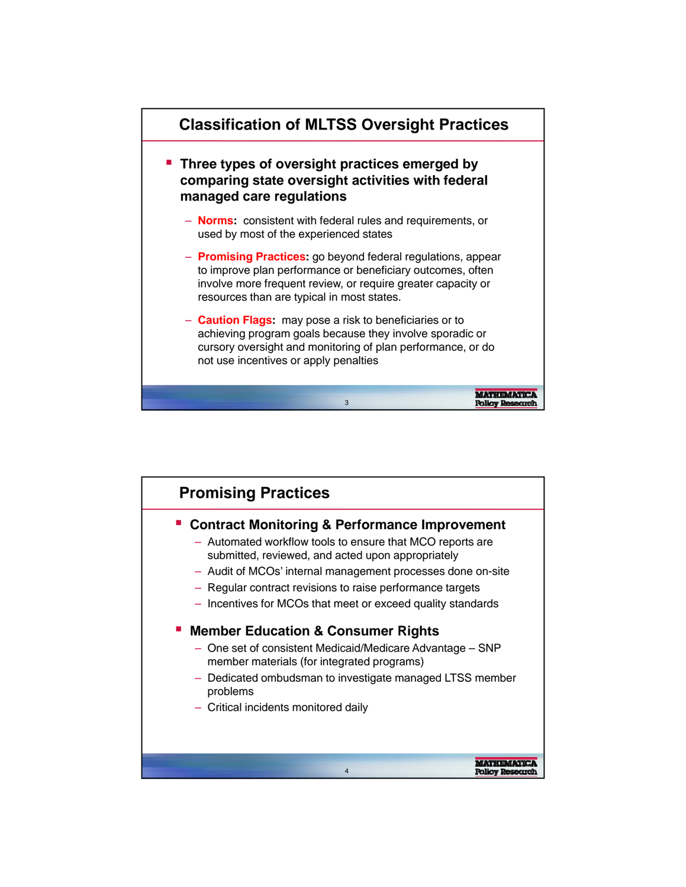

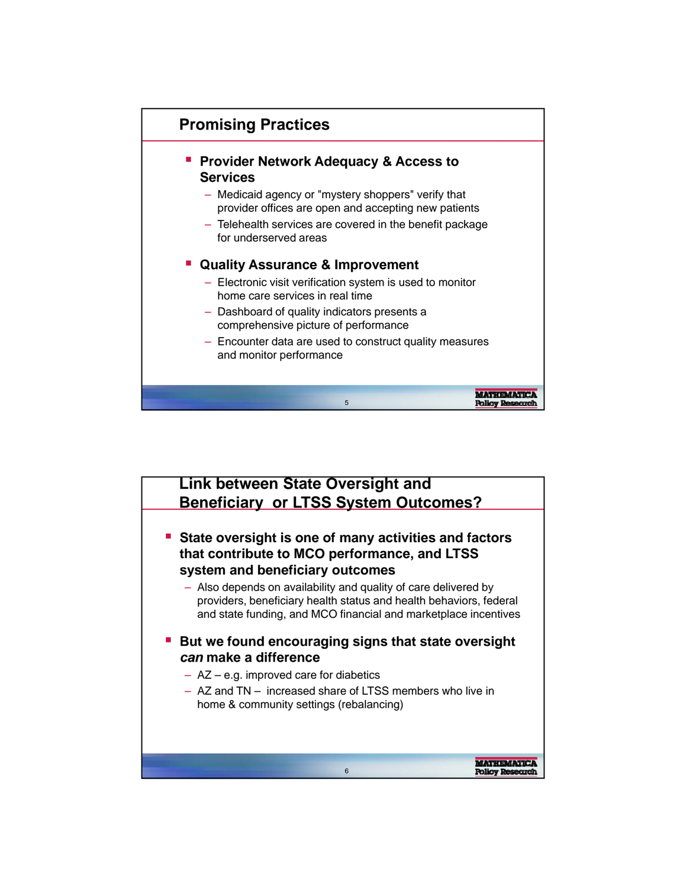

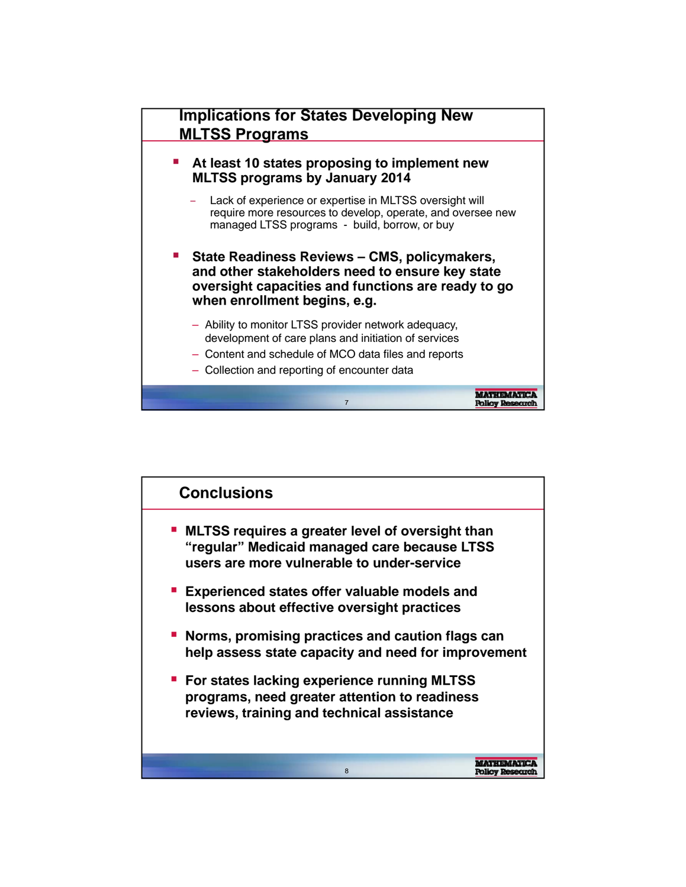